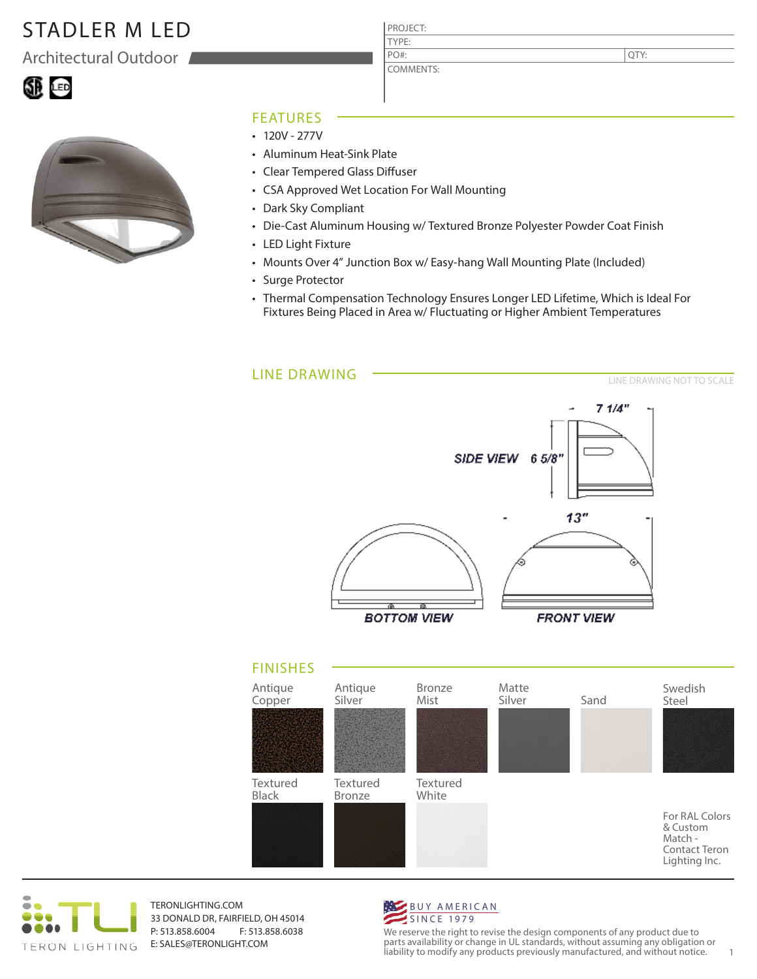## STADLER M LED

Architectural Outdoor

QTY:





## FEATURES

- $\cdot$  120V 277V
- Aluminum Heat-Sink Plate
- Clear Tempered Glass Diffuser
- CSA Approved Wet Location For Wall Mounting
- Dark Sky Compliant
- Die-Cast Aluminum Housing w/ Textured Bronze Polyester Powder Coat Finish
- LED Light Fixture
- Mounts Over 4" Junction Box w/ Easy-hang Wall Mounting Plate (Included)
- Surge Protector
- Thermal Compensation Technology Ensures Longer LED Lifetime, Which is Ideal For Fixtures Being Placed in Area w/ Fluctuating or Higher Ambient Temperatures

LINE DRAWING LINE DRAWING NOT TO SCALE  $7.1/4"$ SIDE VIEW 6 5/8' 13" 颪 অ **BOTTOM VIEW FRONT VIEW** FINISHES Antique Antique Bronze Matte Swedish Copper Silver Mist Silver Sand Steel **Textured** Textured Textured Black Bronze White For RAL Colors & Custom Match -



TERONLIGHTING.COM 33 DONALD DR, FAIRFIELD, OH 45014 P: 513.858.6004 F: 513.858.6038 E: SALES@TERONLIGHT.COM



We reserve the right to revise the design components of any product due to parts availability or change in UL standards, without assuming any obligation or liability to modify any products previously manufactured, and without notice. 1

Contact Teron Lighting Inc.